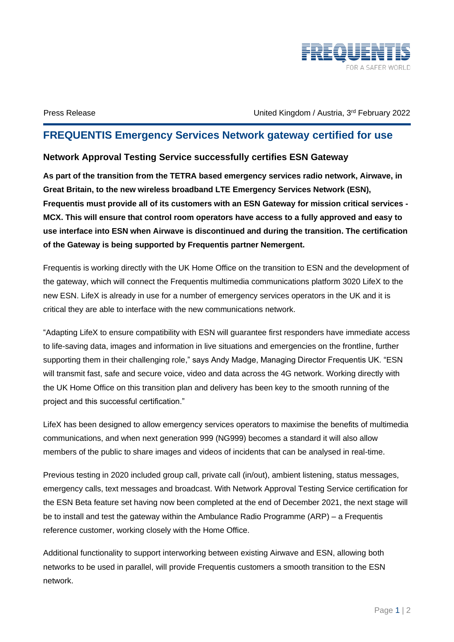

Press Release **February 2022** Christed Kingdom / Austria, 3<sup>rd</sup> February 2022

## **FREQUENTIS Emergency Services Network gateway certified for use**

## **Network Approval Testing Service successfully certifies ESN Gateway**

**As part of the transition from the TETRA based emergency services radio network, Airwave, in Great Britain, to the new wireless broadband LTE Emergency Services Network (ESN), Frequentis must provide all of its customers with an ESN Gateway for mission critical services - MCX. This will ensure that control room operators have access to a fully approved and easy to use interface into ESN when Airwave is discontinued and during the transition. The certification of the Gateway is being supported by Frequentis partner Nemergent.** 

Frequentis is working directly with the UK Home Office on the transition to ESN and the development of the gateway, which will connect the Frequentis multimedia communications platform 3020 LifeX to the new ESN. LifeX is already in use for a number of emergency services operators in the UK and it is critical they are able to interface with the new communications network.

"Adapting LifeX to ensure compatibility with ESN will guarantee first responders have immediate access to life-saving data, images and information in live situations and emergencies on the frontline, further supporting them in their challenging role," says Andy Madge, Managing Director Frequentis UK. "ESN will transmit fast, safe and secure voice, video and data across the 4G network. Working directly with the UK Home Office on this transition plan and delivery has been key to the smooth running of the project and this successful certification."

LifeX has been designed to allow emergency services operators to maximise the benefits of multimedia communications, and when next generation 999 (NG999) becomes a standard it will also allow members of the public to share images and videos of incidents that can be analysed in real-time.

Previous testing in 2020 included group call, private call (in/out), ambient listening, status messages, emergency calls, text messages and broadcast. With Network Approval Testing Service certification for the ESN Beta feature set having now been completed at the end of December 2021, the next stage will be to install and test the gateway within the Ambulance Radio Programme (ARP) – a Frequentis reference customer, working closely with the Home Office.

Additional functionality to support interworking between existing Airwave and ESN, allowing both networks to be used in parallel, will provide Frequentis customers a smooth transition to the ESN network.